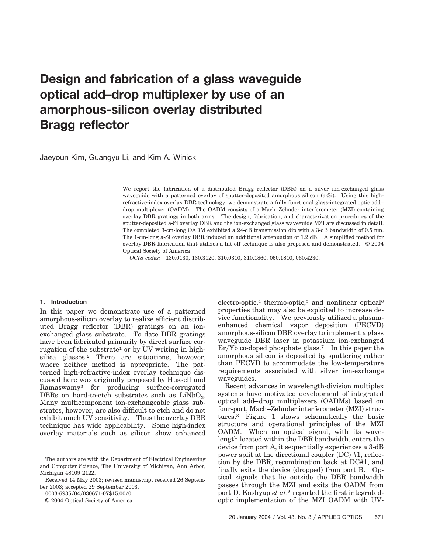# **Design and fabrication of a glass waveguide optical add–drop multiplexer by use of an amorphous-silicon overlay distributed Bragg reflector**

Jaeyoun Kim, Guangyu Li, and Kim A. Winick

We report the fabrication of a distributed Bragg reflector (DBR) on a silver ion-exchanged glass waveguide with a patterned overlay of sputter-deposited amorphous silicon (a-Si). Using this highrefractive-index overlay DBR technology, we demonstrate a fully functional glass-integrated optic add– drop multiplexer (OADM). The OADM consists of a Mach–Zehnder interferometer (MZI) containing overlay DBR gratings in both arms. The design, fabrication, and characterization procedures of the sputter-deposited a-Si overlay DBR and the ion-exchanged glass waveguide MZI are discussed in detail. The completed 3-cm-long OADM exhibited a 24-dB transmission dip with a 3-dB bandwidth of 0.5 nm. The 1-cm-long a-Si overlay DBR induced an additional attenuation of 1.2 dB. A simplified method for overlay DBR fabrication that utilizes a lift-off technique is also proposed and demonstrated. © 2004 Optical Society of America

*OCIS codes:* 130.0130, 130.3120, 310.0310, 310.1860, 060.1810, 060.4230.

#### **1. Introduction**

In this paper we demonstrate use of a patterned amorphous-silicon overlay to realize efficient distributed Bragg reflector (DBR) gratings on an ionexchanged glass substrate. To date DBR gratings have been fabricated primarily by direct surface corrugation of the substrate<sup>1</sup> or by UV writing in highsilica glasses.2 There are situations, however, where neither method is appropriate. The patterned high-refractive-index overlay technique discussed here was originally proposed by Hussell and Ramaswamy3 for producing surface-corrugated DBRs on hard-to-etch substrates such as  $LiNbO<sub>3</sub>$ . Many multicomponent ion-exchangeable glass substrates, however, are also difficult to etch and do not exhibit much UV sensitivity. Thus the overlay DBR technique has wide applicability. Some high-index overlay materials such as silicon show enhanced

0003-6935/04/030671-07\$15.00/0

© 2004 Optical Society of America

electro-optic,<sup>4</sup> thermo-optic,<sup>5</sup> and nonlinear optical<sup>6</sup> properties that may also be exploited to increase device functionality. We previously utilized a plasmaenhanced chemical vapor deposition (PECVD) amorphous-silicon DBR overlay to implement a glass waveguide DBR laser in potassium ion-exchanged  $Er/Yb$  co-doped phosphate glass.<sup>7</sup> In this paper the amorphous silicon is deposited by sputtering rather than PECVD to accommodate the low-temperature requirements associated with silver ion-exchange waveguides.

Recent advances in wavelength-division multiplex systems have motivated development of integrated optical add–drop multiplexers (OADMs) based on four-port, Mach-Zehnder interferometer (MZI) structures.8 Figure 1 shows schematically the basic structure and operational principles of the MZI OADM. When an optical signal, with its wavelength located within the DBR bandwidth, enters the device from port A, it sequentially experiences a 3-dB power split at the directional coupler (DC) #1, reflection by the DBR, recombination back at DC#1, and finally exits the device (dropped) from port B. Optical signals that lie outside the DBR bandwidth passes through the MZI and exits the OADM from port D. Kashyap *et al.*<sup>2</sup> reported the first integratedoptic implementation of the MZI OADM with UV-

The authors are with the Department of Electrical Engineering and Computer Science, The University of Michigan, Ann Arbor, Michigan 48109-2122.

Received 14 May 2003; revised manuscript received 26 September 2003; accepted 29 September 2003.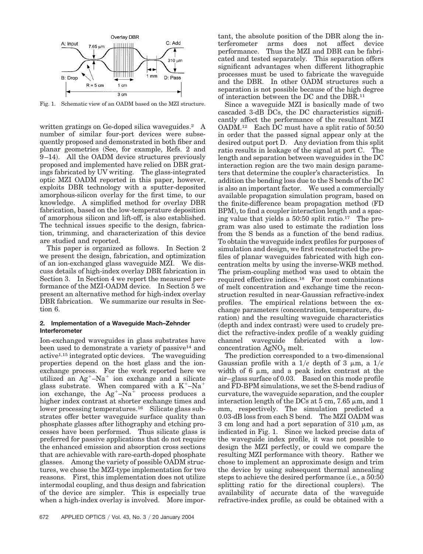

Fig. 1. Schematic view of an OADM based on the MZI structure.

written gratings on Ge-doped silica waveguides.<sup>2</sup> A number of similar four-port devices were subsequently proposed and demonstrated in both fiber and planar geometries (See, for example, Refs. 2 and 9–14). All the OADM device structures previously proposed and implemented have relied on DBR gratings fabricated by UV writing. The glass-integrated optic MZI OADM reported in this paper, however, exploits DBR technology with a sputter-deposited amorphous-silicon overlay for the first time, to our knowledge. A simplified method for overlay DBR fabrication, based on the low-temperature deposition of amorphous silicon and lift-off, is also established. The technical issues specific to the design, fabrication, trimming, and characterization of this device are studied and reported.

This paper is organized as follows. In Section 2 we present the design, fabrication, and optimization of an ion-exchanged glass waveguide MZI. We discuss details of high-index overlay DBR fabrication in Section 3. In Section 4 we report the measured performance of the MZI-OADM device. In Section 5 we present an alternative method for high-index overlay DBR fabrication. We summarize our results in Section 6.

### **2. Implementation of a Waveguide Mach–Zehnder Interferometer**

Ion-exchanged waveguides in glass substrates have been used to demonstrate a variety of passive<sup>14</sup> and active1,15 integrated optic devices. The waveguiding properties depend on the host glass and the ionexchange process. For the work reported here we utilized an  $Ag^+$ -Na<sup>+</sup> ion exchange and a silicate glass substrate. When compared with a  $K^+$ -Na<sup>+</sup> ion exchange, the  $Ag^+$ -Na<sup>+</sup> process produces a higher index contrast at shorter exchange times and lower processing temperatures.<sup>16</sup> Silicate glass substrates offer better waveguide surface quality than phosphate glasses after lithography and etching processes have been performed. Thus silicate glass is preferred for passive applications that do not require the enhanced emission and absorption cross sections that are achievable with rare-earth-doped phosphate glasses. Among the variety of possible OADM structures, we chose the MZI-type implementation for two reasons. First, this implementation does not utilize intermodal coupling, and thus design and fabrication of the device are simpler. This is especially true when a high-index overlay is involved. More important, the absolute position of the DBR along the interferometer arms does not affect device performance. Thus the MZI and DBR can be fabricated and tested separately. This separation offers significant advantages when different lithographic processes must be used to fabricate the waveguide and the DBR. In other OADM structures such a separation is not possible because of the high degree of interaction between the DC and the DBR.11

Since a waveguide MZI is basically made of two cascaded 3-dB DCs, the DC characteristics significantly affect the performance of the resultant MZI OADM.12 Each DC must have a split ratio of 50:50 in order that the passed signal appear only at the desired output port D. Any deviation from this split ratio results in leakage of the signal at port C. The length and separation between waveguides in the DC interaction region are the two main design parameters that determine the coupler's characteristics. In addition the bending loss due to the S bends of the DC is also an important factor. We used a commercially available propagation simulation program, based on the finite-difference beam propagation method FD BPM), to find a coupler interaction length and a spacing value that yields a 50:50 split ratio.17 The program was also used to estimate the radiation loss from the S bends as a function of the bend radius. To obtain the waveguide index profiles for purposes of simulation and design, we first reconstructed the profiles of planar waveguides fabricated with high concentration melts by using the inverse-WKB method. The prism-coupling method was used to obtain the required effective indices.18 For most combinations of melt concentration and exchange time the reconstruction resulted in near-Gaussian refractive-index profiles. The empirical relations between the exchange parameters (concentration, temperature, duration) and the resulting waveguide characteristics (depth and index contrast) were used to crudely predict the refractive-index profile of a weakly guiding channel waveguide fabricated with a lowconcentration  $AgNO<sub>3</sub>$  melt.

The prediction corresponded to a two-dimensional Gaussian profile with a  $1/e$  depth of 3  $\mu$ m, a  $1/e$ width of 6  $\mu$ m, and a peak index contrast at the air–glass surface of 0.03. Based on this mode profile and FD-BPM simulations, we set the S-bend radius of curvature, the waveguide separation, and the coupler interaction length of the DCs at  $5 \text{ cm}$ ,  $7.65 \mu \text{m}$ , and  $1 \text{ m}$ mm, respectively. The simulation predicted a 0.03-dB loss from each S bend. The MZI OADM was 3 cm long and had a port separation of  $310 \mu m$ , as indicated in Fig. 1. Since we lacked precise data of the waveguide index profile, it was not possible to design the MZI perfectly, or could we compare the resulting MZI performance with theory. Rather we chose to implement an approximate design and trim the device by using subsequent thermal annealing steps to achieve the desired performance (*i.e.*, a 50:50 splitting ratio for the directional couplers). The availability of accurate data of the waveguide refractive-index profile, as could be obtained with a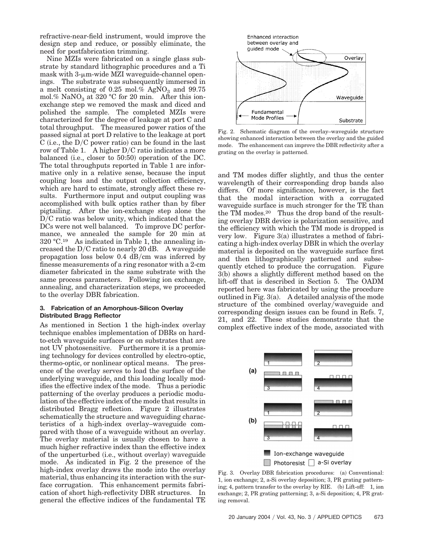refractive-near-field instrument, would improve the design step and reduce, or possibly eliminate, the need for postfabrication trimming.

Nine MZIs were fabricated on a single glass substrate by standard lithographic procedures and a Ti mask with  $3\text{-}\mu\text{m}$ -wide MZI waveguide-channel openings. The substrate was subsequently immersed in a melt consisting of 0.25 mol.%  $AgNO<sub>3</sub>$  and 99.75 mol.% NaNO<sub>3</sub> at 320 °C for 20 min. After this ionexchange step we removed the mask and diced and polished the sample. The completed MZIs were characterized for the degree of leakage at port C and total throughput. The measured power ratios of the passed signal at port D relative to the leakage at port C (i.e., the  $D/C$  power ratio) can be found in the last row of Table 1. A higher  $D/C$  ratio indicates a more balanced (i.e., closer to 50:50) operation of the DC. The total throughputs reported in Table 1 are informative only in a relative sense, because the input coupling loss and the output collection efficiency, which are hard to estimate, strongly affect these results. Furthermore input and output coupling was accomplished with bulk optics rather than by fiber pigtailing. After the ion-exchange step alone the D/C ratio was below unity, which indicated that the DCs were not well balanced. To improve DC performance, we annealed the sample for 20 min at  $320 \text{ °C}.^{19}$  As indicated in Table 1, the annealing increased the  $D/C$  ratio to nearly 20 dB. A waveguide propagation loss below  $0.4 \text{ dB/cm}$  was inferred by finesse measurements of a ring resonator with a 2-cm diameter fabricated in the same substrate with the same process parameters. Following ion exchange, annealing, and characterization steps, we proceeded to the overlay DBR fabrication.

## **3. Fabrication of an Amorphous-Silicon Overlay Distributed Bragg Reflector**

As mentioned in Section 1 the high-index overlay technique enables implementation of DBRs on hardto-etch waveguide surfaces or on substrates that are not UV photosensitive. Furthermore it is a promising technology for devices controlled by electro-optic, thermo-optic, or nonlinear optical means. The presence of the overlay serves to load the surface of the underlying waveguide, and this loading locally modifies the effective index of the mode. Thus a periodic patterning of the overlay produces a periodic modulation of the effective index of the mode that results in distributed Bragg reflection. Figure 2 illustrates schematically the structure and waveguiding characteristics of a high-index overlay–waveguide compared with those of a waveguide without an overlay. The overlay material is usually chosen to have a much higher refractive index than the effective index of the unperturbed (i.e., without overlay) waveguide mode. As indicated in Fig. 2 the presence of the high-index overlay draws the mode into the overlay material, thus enhancing its interaction with the surface corrugation. This enhancement permits fabrication of short high-reflectivity DBR structures. In general the effective indices of the fundamental TE



Fig. 2. Schematic diagram of the overlay–waveguide structure showing enhanced interaction between the overlay and the guided mode. The enhancement can improve the DBR reflectivity after a grating on the overlay is patterned.

and TM modes differ slightly, and thus the center wavelength of their corresponding drop bands also differs. Of more significance, however, is the fact that the modal interaction with a corrugated waveguide surface is much stronger for the TE than the TM modes.20 Thus the drop band of the resulting overlay DBR device is polarization sensitive, and the efficiency with which the TM mode is dropped is very low. Figure  $3(a)$  illustrates a method of fabricating a high-index overlay DBR in which the overlay material is deposited on the waveguide surface first and then lithographically patterned and subsequently etched to produce the corrugation. Figure 3(b) shows a slightly different method based on the lift-off that is described in Section 5. The OADM reported here was fabricated by using the procedure outlined in Fig.  $3(a)$ . A detailed analysis of the mode structure of the combined overlay/waveguide and corresponding design issues can be found in Refs. 7, 21, and 22. These studies demonstrate that the complex effective index of the mode, associated with



Fig. 3. Overlay DBR fabrication procedures: (a) Conventional: 1, ion exchange; 2, a-Si overlay deposition; 3, PR grating patterning; 4, pattern transfer to the overlay by RIE. (b) Lift-off: 1, ion exchange; 2, PR grating patterning; 3, a-Si deposition; 4, PR grating removal.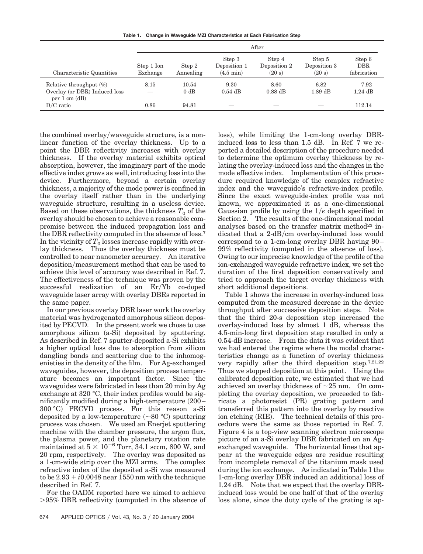**Table 1. Change in Waveguide MZI Characteristics at Each Fabrication Step**

|                                                                                        | After                  |                     |                                               |                                  |                                  |                                     |
|----------------------------------------------------------------------------------------|------------------------|---------------------|-----------------------------------------------|----------------------------------|----------------------------------|-------------------------------------|
| Characteristic Quantities                                                              | Step 1 Ion<br>Exchange | Step 2<br>Annealing | Step 3<br>Deposition 1<br>$(4.5 \text{ min})$ | Step 4<br>Deposition 2<br>(20 s) | Step 5<br>Deposition 3<br>(20 s) | Step 6<br><b>DBR</b><br>fabrication |
| Relative throughput $(\%)$<br>Overlay (or DBR) Induced loss<br>per $1 \text{ cm}$ (dB) | 8.15                   | 10.54<br>0 dB       | 9.30<br>$0.54$ dB                             | 8.60<br>$0.88$ dB                | 6.82<br>$1.89$ dB                | 7.92<br>$1.24$ dB                   |
| $D/C$ ratio                                                                            | 0.86                   | 94.81               |                                               |                                  |                                  | 112.14                              |

the combined overlay/waveguide structure, is a nonlinear function of the overlay thickness. Up to a point the DBR reflectivity increases with overlay thickness. If the overlay material exhibits optical absorption, however, the imaginary part of the mode effective index grows as well, introducing loss into the device. Furthermore, beyond a certain overlay thickness, a majority of the mode power is confined in the overlay itself rather than in the underlying waveguide structure, resulting in a useless device. Based on these observations, the thickness  $T_0$  of the overlay should be chosen to achieve a reasonable compromise between the induced propagation loss and the DBR reflectivity computed in the absence of loss.7 In the vicinity of  $T_0$  losses increase rapidly with overlay thickness. Thus the overlay thickness must be controlled to near nanometer accuracy. An iterative deposition/measurement method that can be used to achieve this level of accuracy was described in Ref. 7. The effectiveness of the technique was proven by the successful realization of an  $Er/Yb$  co-doped waveguide laser array with overlay DBRs reported in the same paper.

In our previous overlay DBR laser work the overlay material was hydrogenated amorphous silicon deposited by PECVD. In the present work we chose to use amorphous silicon (a-Si) deposited by sputtering. As described in Ref. 7 sputter-deposited a-Si exhibits a higher optical loss due to absorption from silicon dangling bonds and scattering due to the inhomogenieties in the density of the film. For Ag-exchanged waveguides, however, the deposition process temperature becomes an important factor. Since the waveguides were fabricated in less than 20 min by Ag exchange at 320 °C, their index profiles would be significantly modified during a high-temperature  $(200 -$ 300 °C) PECVD process. For this reason a-Si deposited by a low-temperature  $(\sim 80$  °C) sputtering process was chosen. We used an Enerjet sputtering machine with the chamber pressure, the argon flux, the plasma power, and the planetary rotation rate maintained at  $5 \times 10^{-6}$  Torr, 34.1 sccm, 800 W, and 20 rpm, respectively. The overlay was deposited as a 1-cm-wide strip over the MZI arms. The complex refractive index of the deposited a-Si was measured to be  $2.93 + i0.0048$  near 1550 nm with the technique described in Ref. 7.

For the OADM reported here we aimed to achieve  $>95\%$  DBR reflectivity (computed in the absence of

loss), while limiting the 1-cm-long overlay DBRinduced loss to less than 1.5 dB. In Ref. 7 we reported a detailed description of the procedure needed to determine the optimum overlay thickness by relating the overlay-induced loss and the changes in the mode effective index. Implementation of this procedure required knowledge of the complex refractive index and the waveguide's refractive-index profile. Since the exact waveguide-index profile was not known, we approximated it as a one-dimensional Gaussian profile by using the 1*e* depth specified in Section 2. The results of the one-dimensional modal analyses based on the transfer matrix method<sup>23</sup> indicated that a  $2-dB/cm$  overlay-induced loss would correspond to a 1-cm-long overlay DBR having 90– 99% reflectivity (computed in the absence of loss). Owing to our imprecise knowledge of the profile of the ion-exchanged waveguide refractive index, we set the duration of the first deposition conservatively and tried to approach the target overlay thickness with short additional depositions.

Table 1 shows the increase in overlay-induced loss computed from the measured decrease in the device throughput after successive deposition steps. Note that the third 20-s deposition step increased the overlay-induced loss by almost 1 dB, whereas the 4.5-min-long first deposition step resulted in only a 0.54-dB increase. From the data it was evident that we had entered the regime where the modal characteristics change as a function of overlay thickness very rapidly after the third deposition step.7,21,22 Thus we stopped deposition at this point. Using the calibrated deposition rate, we estimated that we had achieved an overlay thickness of  $\sim$ 25 nm. On completing the overlay deposition, we proceeded to fabricate a photoresist (PR) grating pattern and transferred this pattern into the overlay by reactive ion etching (RIE). The technical details of this procedure were the same as those reported in Ref. 7. Figure 4 is a top-view scanning electron microscope picture of an a-Si overlay DBR fabricated on an Agexchanged waveguide. The horizontal lines that appear at the waveguide edges are residue resulting from incomplete removal of the titanium mask used during the ion exchange. As indicated in Table 1 the 1-cm-long overlay DBR induced an additional loss of 1.24 dB. Note that we expect that the overlay DBRinduced loss would be one half of that of the overlay loss alone, since the duty cycle of the grating is ap-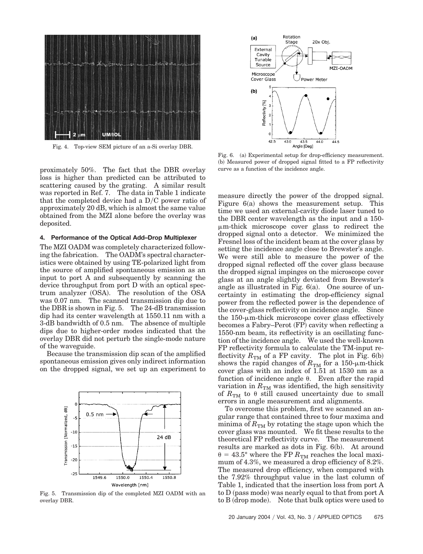

Fig. 4. Top-view SEM picture of an a-Si overlay DBR.

proximately 50%. The fact that the DBR overlay loss is higher than predicted can be attributed to scattering caused by the grating. A similar result was reported in Ref. 7. The data in Table 1 indicate that the completed device had a  $D/C$  power ratio of approximately 20 dB, which is almost the same value obtained from the MZI alone before the overlay was deposited.

### **4. Performance of the Optical Add–Drop Multiplexer**

The MZI OADM was completely characterized following the fabrication. The OADM's spectral characteristics were obtained by using TE-polarized light from the source of amplified spontaneous emission as an input to port A and subsequently by scanning the device throughput from port D with an optical spectrum analyzer (OSA). The resolution of the OSA was 0.07 nm. The scanned transmission dip due to the DBR is shown in Fig. 5. The 24-dB transmission dip had its center wavelength at 1550.11 nm with a 3-dB bandwidth of 0.5 nm. The absence of multiple dips due to higher-order modes indicated that the overlay DBR did not perturb the single-mode nature of the waveguide.

Because the transmission dip scan of the amplified spontaneous emission gives only indirect information on the dropped signal, we set up an experiment to



Fig. 5. Transmission dip of the completed MZI OADM with an overlay DBR.



Fig. 6. (a) Experimental setup for drop-efficiency measurement. (b) Measured power of dropped signal fitted to a FP reflectivity curve as a function of the incidence angle.

measure directly the power of the dropped signal. Figure  $6(a)$  shows the measurement setup. This time we used an external-cavity diode laser tuned to the DBR center wavelength as the input and a 150 m-thick microscope cover glass to redirect the dropped signal onto a detector. We minimized the Fresnel loss of the incident beam at the cover glass by setting the incidence angle close to Brewster's angle. We were still able to measure the power of the dropped signal reflected off the cover glass because the dropped signal impinges on the microscope cover glass at an angle slightly deviated from Brewster's angle as illustrated in Fig.  $6(a)$ . One source of uncertainty in estimating the drop-efficiency signal power from the reflected power is the dependence of the cover-glass reflectivity on incidence angle. Since the  $150$ - $\mu$ m-thick microscope cover glass effectively becomes a Fabry–Perot (FP) cavity when reflecting a 1550-nm beam, its reflectivity is an oscillating function of the incidence angle. We used the well-known FP reflectivity formula to calculate the TM-input reflectivity  $R_{\text{TM}}$  of a FP cavity. The plot in Fig. 6(b) shows the rapid changes of  $R_{\text{TM}}$  for a 150-µm-thick cover glass with an index of 1.51 at 1530 nm as a function of incidence angle  $\theta$ . Even after the rapid variation in  $R_{\text{TM}}$  was identified, the high sensitivity of  $R_{\text{TM}}$  to  $\theta$  still caused uncertainty due to small errors in angle measurement and alignments.

To overcome this problem, first we scanned an angular range that contained three to four maxima and minima of  $R_{\text{TM}}$  by rotating the stage upon which the cover glass was mounted. We fit these results to the theoretical FP reflectivity curve. The measurement results are marked as dots in Fig. 6(b). At around  $\theta = 43.5^{\circ}$  where the FP  $R_{TM}$  reaches the local maximum of 4.3%, we measured a drop efficiency of 8.2%. The measured drop efficiency, when compared with the 7.92% throughput value in the last column of Table 1, indicated that the insertion loss from port A to  $D$  (pass mode) was nearly equal to that from port  $A$ to B (drop mode). Note that bulk optics were used to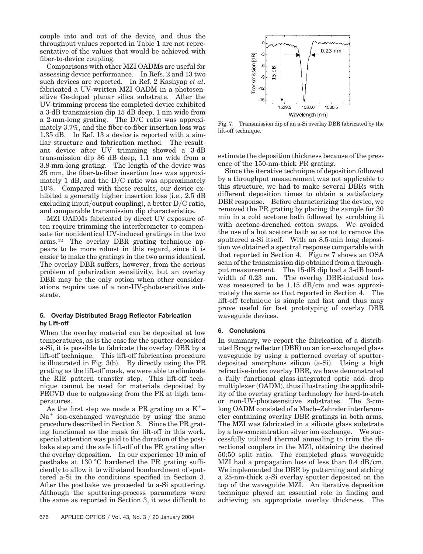couple into and out of the device, and thus the throughput values reported in Table 1 are not representative of the values that would be achieved with fiber-to-device coupling.

Comparisons with other MZI OADMs are useful for assessing device performance. In Refs. 2 and 13 two such devices are reported. In Ref. 2 Kashyap *et al*. fabricated a UV-written MZI OADM in a photosensitive Ge-doped planar silica substrate. After the UV-trimming process the completed device exhibited a 3-dB transmission dip 15 dB deep, 1 nm wide from a 2-mm-long grating. The  $D/C$  ratio was approximately 3.7%, and the fiber-to-fiber insertion loss was 1.35 dB. In Ref. 13 a device is reported with a similar structure and fabrication method. The resultant device after UV trimming showed a 3-dB transmission dip 36 dB deep, 1.1 nm wide from a 3.8-mm-long grating. The length of the device was 25 mm, the fiber-to-fiber insertion loss was approximately 1 dB, and the  $D/C$  ratio was approximately 10%. Compared with these results, our device exhibited a generally higher insertion loss (i.e., 2.5 dB) excluding input/output coupling), a better  $D/C$  ratio, and comparable transmission dip characteristics.

MZI OADMs fabricated by direct UV exposure often require trimming the interferometer to compensate for nonidentical UV-induced gratings in the two arms.12 The overlay DBR grating technique appears to be more robust in this regard, since it is easier to make the gratings in the two arms identical. The overlay DBR suffers, however, from the serious problem of polarization sensitivity, but an overlay DBR may be the only option when other considerations require use of a non-UV-photosensitive substrate.

## **5. Overlay Distributed Bragg Reflector Fabrication by Lift-off**

When the overlay material can be deposited at low temperatures, as is the case for the sputter-deposited a-Si, it is possible to fabricate the overlay DBR by a lift-off technique. This lift-off fabrication procedure is illustrated in Fig.  $3(b)$ . By directly using the PR grating as the lift-off mask, we were able to eliminate the RIE pattern transfer step. This lift-off technique cannot be used for materials deposited by PECVD due to outgassing from the PR at high temperatures.

As the first step we made a PR grating on a  $K^+$ –  $Na<sup>+</sup>$  ion-exchanged waveguide by using the same procedure described in Section 3. Since the PR grating functioned as the mask for lift-off in this work, special attention was paid to the duration of the postbake step and the safe lift-off of the PR grating after the overlay deposition. In our experience 10 min of postbake at 130 °C hardened the PR grating sufficiently to allow it to withstand bombardment of sputtered a-Si in the conditions specified in Section 3. After the postbake we proceeded to a-Si sputtering. Although the sputtering-process parameters were the same as reported in Section 3, it was difficult to



Fig. 7. Transmission dip of an a-Si overlay DBR fabricated by the lift-off technique.

estimate the deposition thickness because of the presence of the 150-nm-thick PR grating.

Since the iterative technique of deposition followed by a throughput measurement was not applicable to this structure, we had to make several DBRs with different deposition times to obtain a satisfactory DBR response. Before characterizing the device, we removed the PR grating by placing the sample for 30 min in a cold acetone bath followed by scrubbing it with acetone-drenched cotton swaps. We avoided the use of a hot acetone bath so as not to remove the sputtered a-Si itself. With an 8.5-min long deposition we obtained a spectral response comparable with that reported in Section 4. Figure 7 shows an OSA scan of the transmission dip obtained from a throughput measurement. The 15-dB dip had a 3-dB bandwidth of 0.23 nm. The overlay DBR-induced loss was measured to be  $1.15$  dB/cm and was approximately the same as that reported in Section 4. The lift-off technique is simple and fast and thus may prove useful for fast prototyping of overlay DBR waveguide devices.

## **6. Conclusions**

In summary, we report the fabrication of a distributed Bragg reflector (DBR) on an ion-exchanged glass waveguide by using a patterned overlay of sputterdeposited amorphous silicon (a-Si). Using a high refractive-index overlay DBR, we have demonstrated a fully functional glass-integrated optic add–drop multiplexer (OADM), thus illustrating the applicability of the overlay grating technology for hard-to-etch or non-UV-photosensitive substrates. The 3-cmlong OADM consisted of a Mach–Zehnder interferometer containing overlay DBR gratings in both arms. The MZI was fabricated in a silicate glass substrate by a low-concentration silver ion exchange. We successfully utilized thermal annealing to trim the directional couplers in the MZI, obtaining the desired 50:50 split ratio. The completed glass waveguide MZI had a propagation loss of less than  $0.4 \text{ dB/cm}$ . We implemented the DBR by patterning and etching a 25-nm-thick a-Si overlay sputter deposited on the top of the waveguide MZI. An iterative deposition technique played an essential role in finding and achieving an appropriate overlay thickness. The